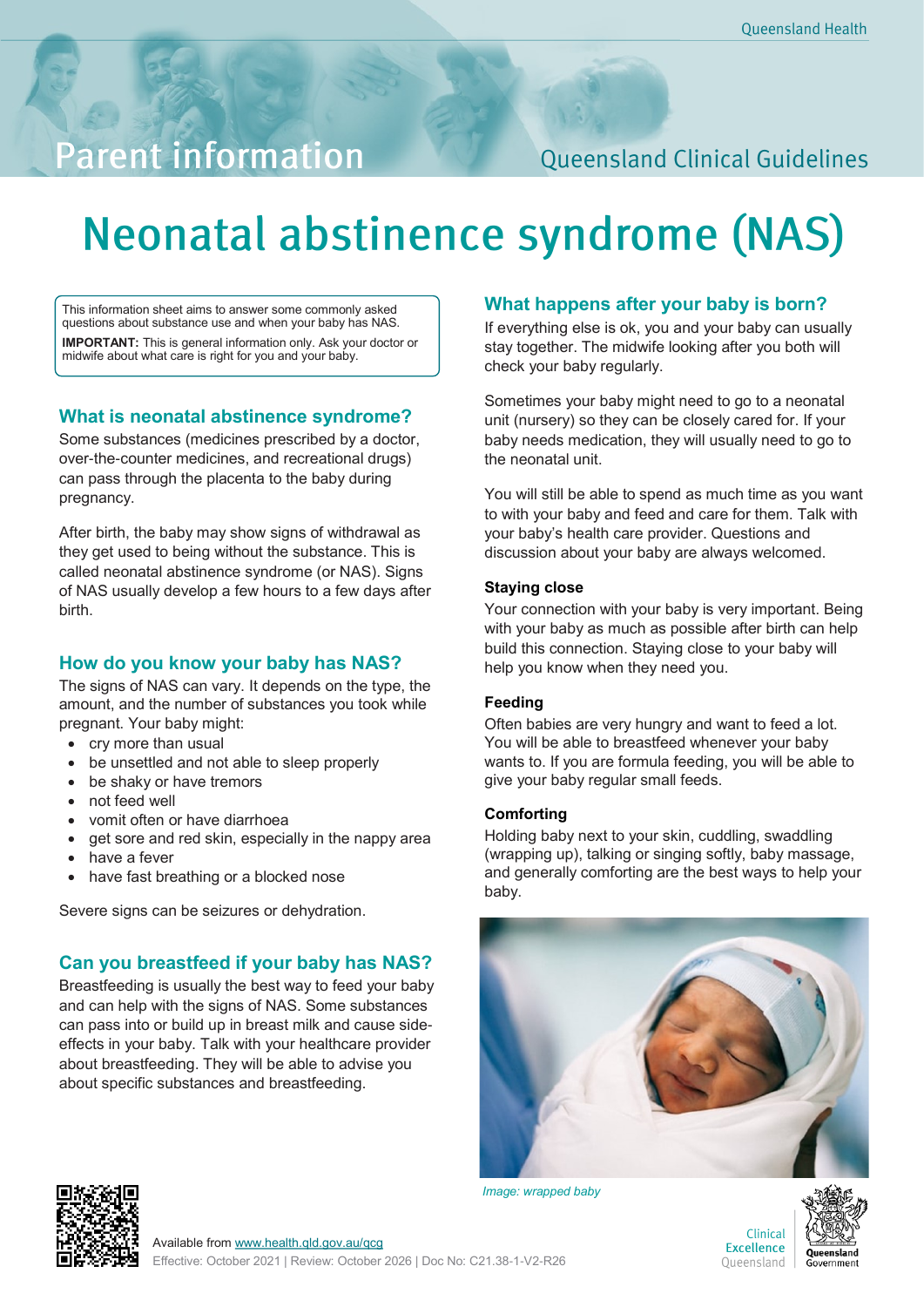## **Parent information**

### **Queensland Clinical Guidelines**

# **Neonatal abstinence syndrome (NAS)**

This information sheet aims to answer some commonly asked questions about substance use and when your baby has NAS. **IMPORTANT:** This is general information only. Ask your doctor or midwife about what care is right for you and your baby.

#### **What is neonatal abstinence syndrome?**

Some substances (medicines prescribed by a doctor, over-the-counter medicines, and recreational drugs) can pass through the placenta to the baby during pregnancy.

After birth, the baby may show signs of withdrawal as they get used to being without the substance. This is called neonatal abstinence syndrome (or NAS). Signs of NAS usually develop a few hours to a few days after birth.

#### **How do you know your baby has NAS?**

The signs of NAS can vary. It depends on the type, the amount, and the number of substances you took while pregnant. Your baby might:

- cry more than usual
- be unsettled and not able to sleep properly
- be shaky or have tremors
- not feed well
- vomit often or have diarrhoea
- get sore and red skin, especially in the nappy area
- have a fever
- have fast breathing or a blocked nose

Severe signs can be seizures or dehydration.

#### **Can you breastfeed if your baby has NAS?**

Breastfeeding is usually the best way to feed your baby and can help with the signs of NAS. Some substances can pass into or build up in breast milk and cause sideeffects in your baby. Talk with your healthcare provider about breastfeeding. They will be able to advise you about specific substances and breastfeeding.

#### **What happens after your baby is born?**

If everything else is ok, you and your baby can usually stay together. The midwife looking after you both will check your baby regularly.

Sometimes your baby might need to go to a neonatal unit (nursery) so they can be closely cared for. If your baby needs medication, they will usually need to go to the neonatal unit.

You will still be able to spend as much time as you want to with your baby and feed and care for them. Talk with your baby's health care provider. Questions and discussion about your baby are always welcomed.

#### **Staying close**

Your connection with your baby is very important. Being with your baby as much as possible after birth can help build this connection. Staying close to your baby will help you know when they need you.

#### **Feeding**

Often babies are very hungry and want to feed a lot. You will be able to breastfeed whenever your baby wants to. If you are formula feeding, you will be able to give your baby regular small feeds.

#### **Comforting**

Holding baby next to your skin, cuddling, swaddling (wrapping up), talking or singing softly, baby massage, and generally comforting are the best ways to help your baby.



*Image: wrapped baby*





Clinical **Excellence** Queensland